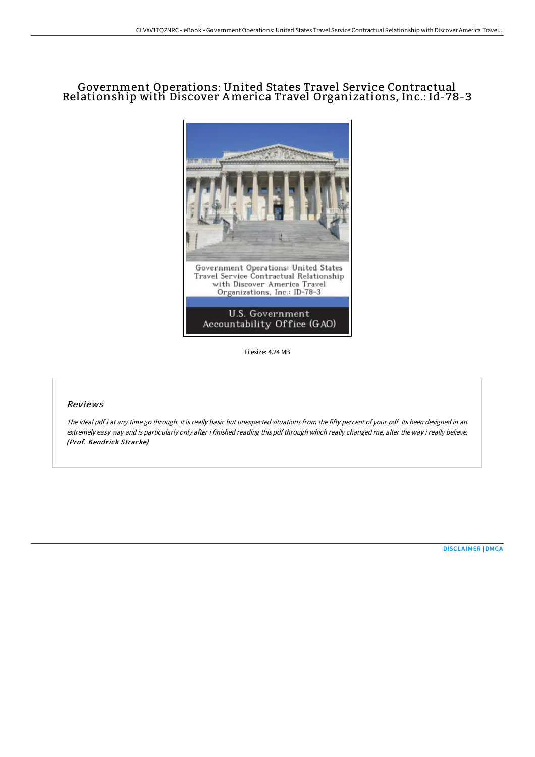## Government Operations: United States Travel Service Contractual Relationship with Discover America Travel Organizations, Inc.: Id-78-3



Filesize: 4.24 MB

## Reviews

The ideal pdf i at any time go through. It is really basic but unexpected situations from the fifty percent of your pdf. Its been designed in an extremely easy way and is particularly only after i finished reading this pdf through which really changed me, alter the way i really believe. (Prof. Kendrick Stracke)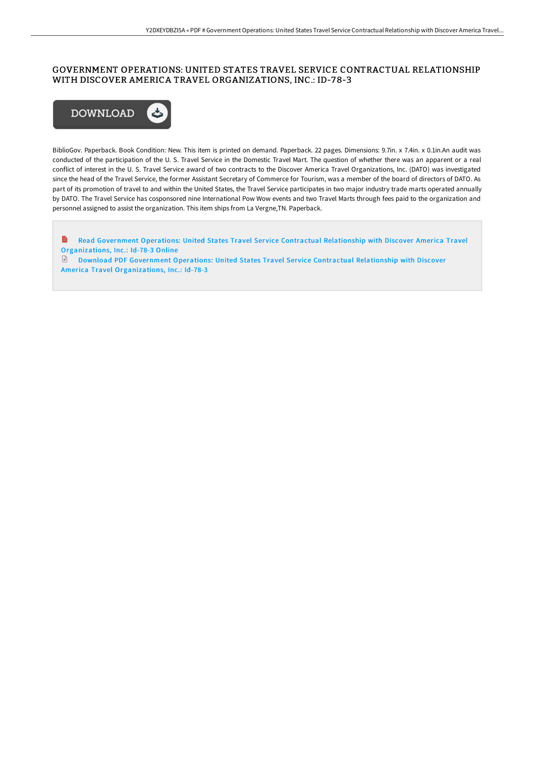## GOVERNMENT OPERATIONS: UNITED STATES TRAVEL SERVICE CONTRACTUAL RELATIONSHIP WITH DISCOVER AMERICA TRAVEL ORGANIZATIONS, INC.: ID-78-3



BiblioGov. Paperback. Book Condition: New. This item is printed on demand. Paperback. 22 pages. Dimensions: 9.7in. x 7.4in. x 0.1in.An audit was conducted of the participation of the U. S. Travel Service in the Domestic Travel Mart. The question of whether there was an apparent or a real conflict of interest in the U. S. Travel Service award of two contracts to the Discover America Travel Organizations, Inc. (DATO) was investigated since the head of the Travel Service, the former Assistant Secretary of Commerce for Tourism, was a member of the board of directors of DATO. As part of its promotion of travel to and within the United States, the Travel Service participates in two major industry trade marts operated annually by DATO. The Travel Service has cosponsored nine International Pow Wow events and two Travel Marts through fees paid to the organization and personnel assigned to assist the organization. This item ships from La Vergne,TN. Paperback.

Read Government Operations: United States Travel Service Contractual Relationship with Discover America Travel [Organizations,](http://techno-pub.tech/government-operations-united-states-travel-servi.html) Inc.: Id-78-3 Online

Download PDF Government Operations: United States Travel Service Contractual Relationship with Discover America Travel [Organizations,](http://techno-pub.tech/government-operations-united-states-travel-servi.html) Inc.: Id-78-3